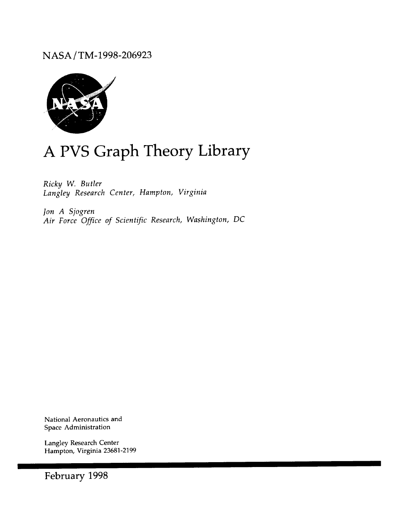NASA */* TM-1998-206923



# A PVS Graph Theory Library

*Ricky W. Butler Langley Research Center, Hampton, Virginia*

*Jon A Sjogren Air Force Office of Scientific Research, Washington, DC*

National Aeronautics and Space Administration

Langley Research Center Hampton, Virginia **23681-2199**

February 1998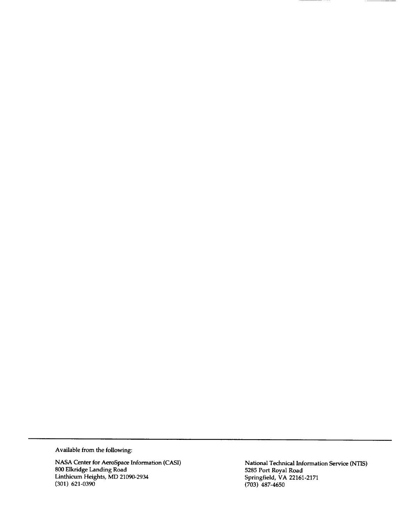Available **from the following:**

NASA Center **for** AeroSpace **Information** (CASI) **800 Elkridge** Landing Road **Linthicum** Heights, **MD 21090-2934** (301) **621-0390**

**National Technical Information Service** (NTIS) **5285** Port **Royal Road Springfield, VA 22161-2171** (703) **487-46**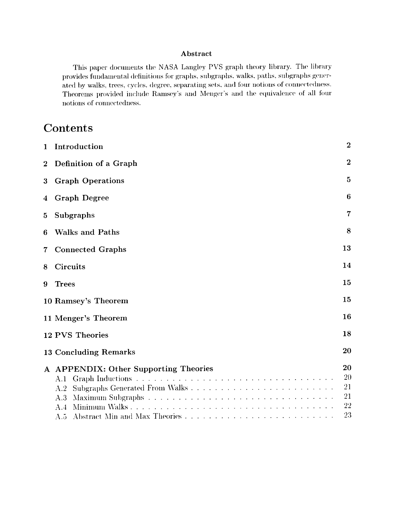#### Abstract

This paper documents the NASA Langley PVS graph theory library. The library provides fundamental definitions for graphs, subgraphs, walks, paths, subgraphs generated by walks, trees, cycles, degree, separating sets, and four notions of connectedness. Theorems provided include Ramsey's and Menger's and the equivalence of all four notions of connectedness.

# Contents

| $\mathbf{1}$ | Introduction                                                      | $\overline{2}$                   |
|--------------|-------------------------------------------------------------------|----------------------------------|
| $\bf{2}$     | Definition of a Graph                                             | $\overline{2}$                   |
| 3            | <b>Graph Operations</b>                                           | 5                                |
| 4            | <b>Graph Degree</b>                                               | 6                                |
| 5            | Subgraphs                                                         | 7                                |
| 6            | <b>Walks and Paths</b>                                            | 8                                |
| 7            | <b>Connected Graphs</b>                                           | 13                               |
| 8            | <b>Circuits</b>                                                   | 14                               |
| 9            | <b>Trees</b>                                                      | 15                               |
|              | 10 Ramsey's Theorem                                               | 15                               |
|              | 11 Menger's Theorem                                               | 16                               |
|              | 12 PVS Theories                                                   | 18                               |
|              | 13 Concluding Remarks                                             | 20                               |
|              | A APPENDIX: Other Supporting Theories<br>A.1<br>A.2<br>A.3<br>A.4 | 20<br>20<br>21<br>21<br>22<br>23 |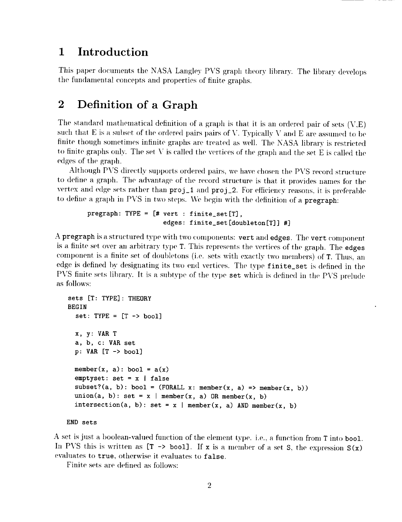#### Introduction 1

This paper documents the NASA Langley PVS graph theory library. The library develops the fundamental concepts and properties of finite graphs.

#### $\overline{2}$ Definition of a Graph

The standard mathematical definition of a graph is that it is an ordered pair of sets  $(V,E)$ such that E is a subset of the ordered pairs pairs of V. Typically V and E are assumed to be finite though sometimes infinite graphs are treated as well. The NASA library is restricted to finite graphs only. The set V is called the vertices of the graph and the set E is called the edges of the graph.

Although PVS directly supports ordered pairs, we have chosen the PVS record structure to define a graph. The advantage of the record structure is that it provides names for the vertex and edge sets rather than proj\_1 and proj\_2. For efficiency reasons, it is preferable to define a graph in PVS in two steps. We begin with the definition of a pregraph:

```
pregraph: TYPE = [# vert : finite_set[T],
                    edges: finite_set[doubleton[T]] #]
```
A pregraph is a structured type with two components: vert and edges. The vert component is a finite set over an arbitrary type T. This represents the vertices of the graph. The edges component is a finite set of doubletons (i.e. sets with exactly two members) of T. Thus, an edge is defined by designating its two end vertices. The type finite\_set is defined in the PVS finite sets library. It is a subtype of the type set which is defined in the PVS prelude as follows:

```
sets [T: TYPE]: THEORY
BEGIN
  set: TYPE = [T \rightarrow bool]x, y: VAR T
  a, b, c: VAR set
  p: VAR[T \rightarrow bool]member(x, a): bool = a(x)emptyset: set = x | falsesubset?(a, b): bool = (FORALL x: member(x, a) => member(x, b))
  union(a, b): set = x | member(x, a) OR member(x, b)
  intersection(a, b): set = x | member(x, a) AND member(x, b)
```
#### END sets

A set is just a boolean-valued function of the element type. i.e., a function from T into bool. In PVS this is written as  $[T \rightarrow bool]$ . If x is a member of a set S, the expression  $S(x)$ evaluates to true, otherwise it evaluates to false.

Finite sets are defined as follows: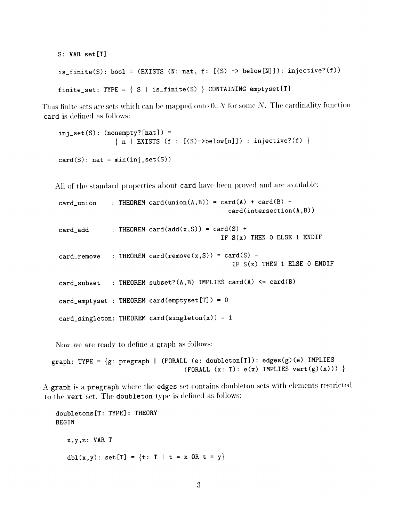```
S: VAR set[T]
is\_finite(S): bool = (EXISTS (N: nat, f: [(S) \rightarrow below[N]]): injective?(f))
finite_set: TYPE = \{ S \mid is\_finite(S) \} CONTAINING emptyset[T]
```
Thus finite sets are sets which can be mapped onto  $0..N$  for some  $N$ . The cardinality function card is defined as follows:

```
inj\_set(S): (nonempty? [nat]) =
                 \{ n \mid \text{EXISTS (f : [(S)-\gt{below[n]}]) : injective? (f) \}card(S): nat = min(inj_set(S))
```
All of the standard properties about card have been proved and are available:

card\_union : THEOREM card(union(A,B)) = card(A) + card(B) card(intersection(A,B))

card\_add : THEOREM card(add(x,S)) = card(S) + IF  $S(x)$  THEN O ELSE 1 ENDIF

 $card\_remove$  : THEOREM  $card(remove(x,S)) = card(S)$  -IF  $S(x)$  THEN 1 ELSE 0 ENDIF

: THEOREM subset? $(A,B)$  IMPLIES card $(A)$   $\leq$  card $(B)$ card\_subset

card\_emptyset : THEOREM card(emptyset[T]) = 0

card\_singleton: THEOREM card(singleton(x)) = 1

Now we are ready to define a graph as follows:

graph: TYPE = {g: pregraph I (FORALL (e: doubleton[T]): edges(g)(e) IMPLIES (FORALL  $(x: T): e(x)$  IMPLIES  $vert(g)(x))$ )

A graph is a pregraph where the edges set contains doubleton sets with elements restricted to the vert set. The doubleton type is defined as follows:

```
doubletons[T: TYPE]: THEORY
BEGIN
   x,y,z: VAR T
   dbl(x,y): set[T] = {t: T | t = x 0R t = y}
```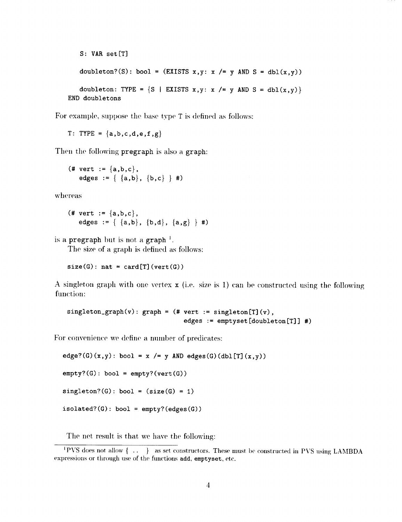```
S: VAR set [T]
      \texttt{doubleton}(\texttt{S})\colon \texttt{bool} \ = \ \texttt{(EXISTS x, y: x \ \texttt{/\texttt{=} y \ AND \ S = \ dbl(x, y))}}doubleton: TYPE = \{S \mid E X I STS x, y: x \mid = y \text{ AND } S = \text{dbl}(x, y) \}END doubletons
```
For example, suppose the base type T is defined as follows:

T: TYPE =  ${a,b,c,d,e,f,g}$ 

Then the following pregraph is also a graph:

$$
(\text{# vert} := \{a,b,c\}, \\ \text{edges} := \{ \{a,b\}, \{b,c\} \} \#)
$$

whereas

$$
(\text{# vert} := \{a,b,c\},\
$$
  
edges := { {a,b}, {b,d}, {a,g} } \# )

is a **pregraph** but is not a graph  $\frac{1}{x}$ .

The size of a graph is defined as follows:

 $size(G):$  nat = card[T] (vert(G))

A singleton graph with one vertex **x** (i.e. size is 1) can be constructed using the following function:

singleton\_graph(v): graph = (# vert := singleton[T] (v), edges := emptyset[doubleton[T]] #]

For *convenience* we define a number of predicates:

```
edge? (G) (x, y): bool = x /= y AND edges(G)(dbl[T](x,y))
empty?(G): bool = empty?(vert(G))
singleton?(G): bool = (size(G) = 1)isolated? (G): bool = empty? (edges (G))
```
The net result is that we have the following:

I PVS does not allow { .. } as set constructors. These must be constructed in PVS using LAMBDA expressions or through use of the functions add, emptyset, etc.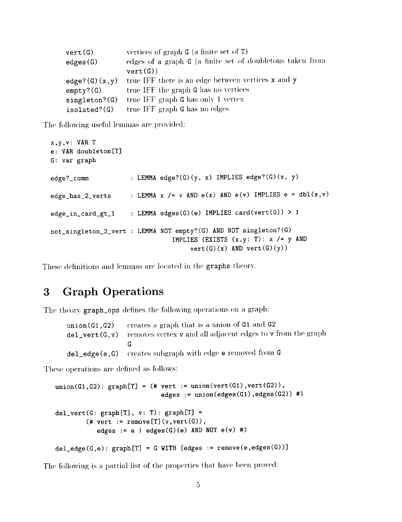| vert(G)              | vertices of graph $G$ (a finite set of $T$ )              |
|----------------------|-----------------------------------------------------------|
| edges(G)             | edges of a graph G (a finite set of doubletons taken from |
|                      | vert(G)                                                   |
| $edge?$ (G) $(x, y)$ | true IFF there is an edge between vertices x and y        |
| $empty?$ (G)         | true IFF the graph G has no vertices                      |
| singleton?(G)        | true IFF graph G has only 1 vertex                        |
| isolated?(G)         | true IFF graph G has no edges                             |

The following useful lemmas are provided:

```
x,y,v: VAR T
e: VAR doubleton[T]
G: var graph
edge?_comm : LEMMA edge?(G)(y, x) IMPLIES edge?(G)(x, y)
edge_has_2_verts : LEMMA x /= v AND e(x) AND e(v) IMPLIES e = dbl(x,v)
edge_in_card_gt_l : LEMMA edges(G)(e) IMPLIES card(vert(G)) > 1
not_singleton_2_vert : LEMMA NOT empty?(G) AND NOT singleton?(G)
                               IMPLIES (EXISTS (x,y: T): x /= y AND
                                    vert(G)(x) AND vert(G)(y))
```
These definitions and lemmas are located in the graphs theory.

# 3 Graph Operations

The theory graph\_ops defines the following operations on a graph:

| $union(G1, G2)$ creates a graph that is a union of G1 and G2                            |
|-----------------------------------------------------------------------------------------|
| $del_{\text{y}}$ vert(G, v) removes vertex v and all adjacent edges to v from the graph |
|                                                                                         |
| $del\_edge(e, G)$ creates subgraph with edge $e$ removed from $G$                       |

These operations are defined as follows:

```
union(G1,G2): graph[T] = # vert := union(vert(G1),vert(G2)),
                              edges := union(edges(Gl),edges(G2)) #)
del\_vert(G: graph[T], v: T): graph[T] =(\# \text{vert} := \text{remove}[T](v,\text{vert}(G)),edges := e | edges(G)(e) AND NOT e(v) #)
del\_edge(G,e): graph[T] = G WITH [edges := remove(e,edges(G))]
```
The following is a partial list of the properties that have been proved: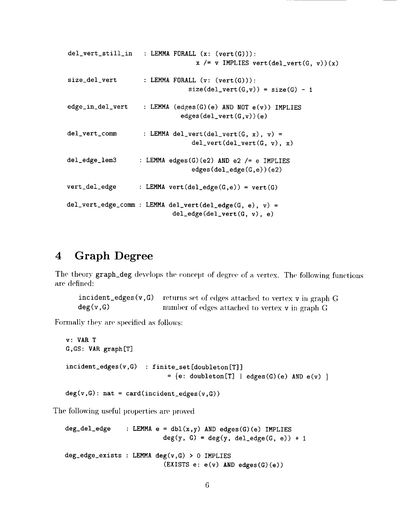```
del_vert_still_in : LEMMA FORALL (x: (vert(G))):
                                 x /= v IMPLIES vert(del_vert(G, v))(x)
size\_del\_vert : LEMMA FORALL (v: (vert(G))):size(de1\_vert(G,v)) = size(G) - 1edge_in_del_vert LEMMA (edges(G)(e) AND N0T e(v)) IMPLIES
                             edges(del_vert(G,v))(e)
del\_vert\_comm : LEMMA del_vert(del_vert(G, x), v) =
                                del_vert(del_vert(G, v), x)del_edge_lem3 : LEMMA edges(G)(e2) AND e2 /= e IMPLIES
                                edges(del_edge(G,e))(e2)
vert\_del\_edge : LEMMA vert(del_edge(G,e)) = vert(G)
del_vert_edge_comm : LEMMA del_vert(del_edge(G, e), v) =
                           del\_edge(id\_vert(G, v), e)
```
### 4 Graph Degree

The theory graph\_deg develops the concept of degree of a vertex. The following functions are defined:

 $incident\_edges(v, G)$  returns set of edges attached to vertex v in graph G  $deg(v, G)$  Immber of edges attached to vertex v in graph G

Formally they are specified as follows:

```
v: VAR T
G, GS: VAR graph [T]
incident_edges (v, G) : f inite_set [doubleton [T] ]
                             = \{e: doubleton[T] | edges(G)(e) AND e(v) \}deg(v,G): nat = card(incident_edges(v,G))
```
The following useful properties are proved

```
deg\_del\_edge : LEMMA e = db1(x, y) AND edges(G)(e) IMPLIES
                          deg(y, G) = deg(y, del\_edge(G, e)) + 1deg_edge_exists : LEMMA deg(v, G) > 0 IMPLIES
                          (EXISTS e: e(v) AND edges(G)(e))
```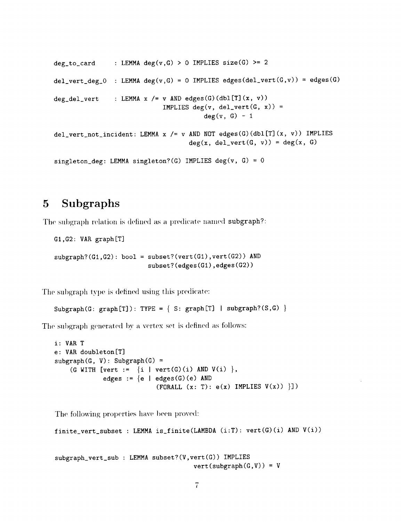```
deg_to_card : LEMMA deg(v,G) > 0 IMPLIES size(G) >= 2
del_vert_deg_O : LEMMA deg(v,G) = 0 IMPLIES edges(del_vert(G,v)) = edges(G)
deg_del_vert : LEMMA x /= v AND edges(G)(dbl[T] (x, v))
                            IMPLIES deg(v, del_vert(G, x)) =
                                       deg(v, G) - 1del_vert_not_incident: LEMMA x /= v AND NOT edges(G)(dbl[T](x, v)) IMPLIES
                                   deg(x, del\_vert(G, v)) = deg(x, G)singleton_deg: LEMMA singleton?(G) IMPLIES deg(v, G) = 0
```
### 5 Subgraphs

The subgraph relation is defined as a predicate named subgraph?:

```
GI,G2: VAR graph[T]
```

```
subgraph?(G1,G2): bool = subset?(vert(G1),vert(G2)) AND
                          subset? (edges (GI), edges (G2))
```
The subgraph type is defined using this predicate:

```
Subgraph(G: graph[T]): TYPE = { S: graph[T] | subgraph?(S,G) }
```
The subgraph generated by a vertex set is defined as follows:

```
i: VAR T
e: VAR doubleton[T]
subgraph(G, V): Subgraph(G) =(G WITH [vert := \{i \mid vert(G)(i) \text{ AND } V(i) \},edges := \{e \mid edges(G)(e) \text{ AND }(FORALL (x: T): e(x) IMPLIES V(x)) \}])
```
The following properties have been proved:

```
finite_vert_subset : LEMMA is_finite(LAMBDA (i:T): vert(g)(i) AND V(i))
```

```
subgraph_vert_sub : LEMMA subset?(V,vert(G)) IMPLIES
                                    vert(subgraph(G,V)) = V
```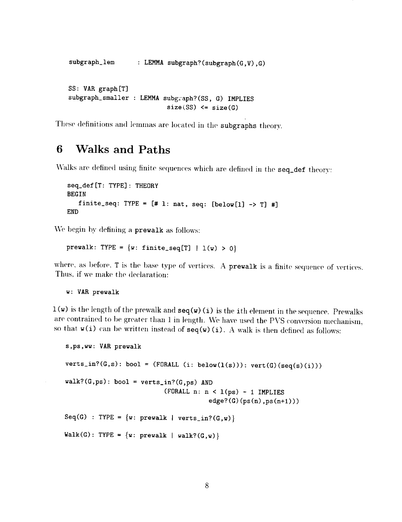```
subgraph_lem
                    : LEMMA subgraph?(subgraph(G, V), G)
subgraph_lem : LEMMA subgraph?(subgraph(G,V),G)
 subgraph_smaller : LEMMA subgraph?(SS, G) IMPLIES
                            size(SS) \leq size(G)
```
subgraph subgraph  $\mathbf{S}$  is the contract of  $\mathbf{S}$  in the contract of  $\mathbf{S}$  is the contract of  $\mathbf{S}$  in the contract of  $\mathbf{S}$  is the contract of  $\mathbf{S}$  is the contract of  $\mathbf{S}$  is the contract of  $\mathbf{S}$  $\mathfrak{g}$  is a size  $\mathfrak{g}$  in the subset

# 6 Walks and Paths

Walks are defined using finite sequences which are defined in the seq\_def theory:

```
W = \frac{1}{2} arc defined using finite sequences which are defined in the sequences which are defined in the sequence of the sequences which are defined in the sequence of the sequence of the sequence of the sequence of the
                finite_seq: TYPE = [# 1: nat, seq: [below[1] -> T] #]END
```
for  $\frac{1}{2}$  if  $\frac{1}{2}$  if  $\frac{1}{2}$  is  $\frac{1}{2}$   $\frac{1}{2}$   $\frac{1}{2}$   $\frac{1}{2}$   $\frac{1}{2}$   $\frac{1}{2}$   $\frac{1}{2}$   $\frac{1}{2}$   $\frac{1}{2}$   $\frac{1}{2}$   $\frac{1}{2}$   $\frac{1}{2}$   $\frac{1}{2}$   $\frac{1}{2}$   $\frac{1}{2}$   $\frac{1}{2}$   $\frac{1}{2}$   $\frac{1}{2}$ END

prewalk: TYPE =  $\{w: finite\_seq[T] \mid l(w) > 0\}$ 

where, as before,  $T$  is the base type of vertices. A prewalk is a finite sequence of vertices. Thus, if we make the declaration:

where, as  $\frac{1}{2}$  is the base type of vertices. A prewalk is a finite sequence sequence sequence sequences. A prewalk is a finite sequence of vertices. A prewalk is a finite sequence of vertical  $\frac{1}{2}$  $w:$  VAR prewalk

 $1(w)$  is the length of the prewalk and  $seq(w)$  (i) is the ith element in the sequence. Prewalks are contrained to be greater than 1 in length. We have used the PVS conversion mechanism, so that  $v(i)$  can be written instead of  $seq(w)(i)$ . A walk is then defined as follows:

```
s_{\rm t} can be written instead of sequence instead of sequence as follows:
     verts_in?(G,s): bool = (FORALL (i: below(1(s))): vert(G)(seq(s)(i)))walk?(G,ps): bool = verts_in?(G,ps) AND<br>(FORALL n: n < 1(ps) - 1 IMPLIES
                                                       edge? (G) (ps(n), ps(n+1)))(Forall n: n in the later state of the later state of the later state of the later state of the later state of
                                                      \ldots (g, m) \frac{1}{2}Walk(G): TYPE = {w: prewalk | walk?(G,w)}
```
are contrained to be greater than 1 in length. We have used the PVS *conversion* mechanism,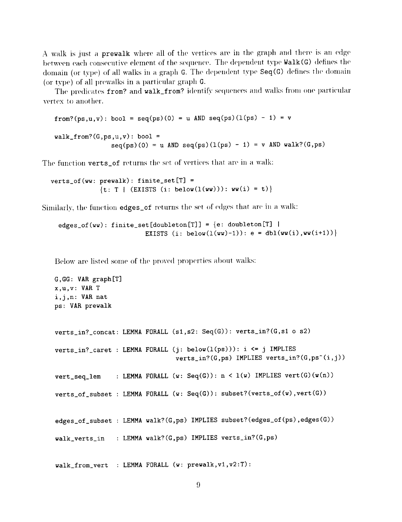A walk is just a prewalk where all of the vertices are in the graph and there is an edge between each consecutive element of the sequence. The dependent type Walk (G) defines the domain (or type) of all walks in a graph G. The dependent type  $Seq(G)$  defines the domain (or type) of all prewalks in a particular graph G.

The predicates from? and walk\_from? identify sequences and walks from one particular vertex to another.

from?(ps,u,v): bool = seq(ps)(0) = u AND seq(ps)(l(ps) - 1) = v  $walk_from?$ (G,ps,u,v): bool =  $seq(ps)(0) = u$  AND  $seq(ps)(1(ps) - 1) = v$  AND walk?(G,ps)

The function verts\_of returns the set of vertices that are in a walk:

verts\_of(ww: prewalk): finite\_set[T] = { $t: T | (EXISTS (i: below(1(ww)))): ww(i) = t)$ }

Similarly, the function edges\_of returns the set of edges that arc' in a walk:

edges\_of(ww): finite\_set[doubleton[T]] =  ${e:$  doubleton[T] | EXISTS (i: below( $l(uw)-1$ )): e = dbl( $ww(i)$ , $ww(i+1))$ }

Below are listed some of the proved properties about walks:

```
G,GG: VAR graph[T]
x,u,v: VAR T
i,j,n: VAR nat
ps: VAR prewalk
verts_in?_concat: LEMMA FORALL (sl,s2: Seq(G)): verts_in?(G,sl o s2)
verts in?_caret : LEMMA FORALL (j: below(l(ps))): i <= j IMPLIES
                                verts_in?(G,ps) IMPLIES verts_in?(G,ps^(i,j))
vert\_seq\_lem : LEMMA FORALL (w: Seq(G)) : n < l(w) IMPLIES vert(G)(w(n))verts_of_subset : LEMMA FORALL (w: Seq(G)): subset?(verts_of(w),vert(G))
edges_of_subset : LEMMA walk?(G,ps) IMPLIES subset?(edges_of(ps),edges(G))
walk_verts_in : LEMMA walk?(G,ps) IMPLIES verts_in?(G,ps)
```
walk\_from\_vert : LEMMA FORALL (w: prewalk,vl,v2:T):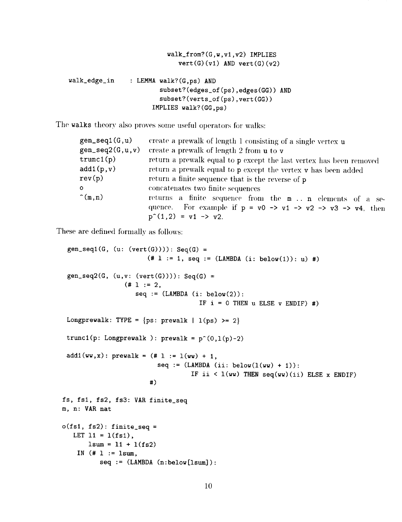```
walk_from?(G,w,vl,v2) IMPLIES
                             vert(G)(v1) AND vert(G)(v2)walk_edge_in : LEMMA walk?(G,ps) AND
                       subset?(edges_of(ps),edges(GG)) AND
                        subset?(verts_of(ps),vert(GG))
                     IMPLIES walk?(GG,ps)
```
The walks theory also proves some useful operators for walks:

| $gen\_seq1(G, u)$    | create a prewalk of length 1 consisting of a single vertex u                                       |
|----------------------|----------------------------------------------------------------------------------------------------|
| $gen\_seq2(G, u, v)$ | create a prewalk of length 2 from u to v                                                           |
| trunc1(p)            | return a prewalk equal to p except the last vertex has been removed                                |
| add1(p,v)            | return a prewalk equal to p except the vertex v has been added                                     |
| rev(p)               | return a finite sequence that is the reverse of p                                                  |
| $\mathbf{o}$         | concatenates two finite sequences                                                                  |
| $\hat{m}(m,n)$       | returns a finite sequence from the m n elements of a se-                                           |
|                      | quence. For example if $p = v0 \rightarrow v1 \rightarrow v2 \rightarrow v3 \rightarrow v4$ , then |
|                      | $p^{(1,2)} = v1 \rightarrow v2$ .                                                                  |

These are defined formally as follows:

```
gen\_seq1(G, (u: (vert(G)))): Seq(G) =(* 1 := 1, seq := (LAMBDA (i: below(1)): u) #)gen\_seq2(G, (u,v: (vert(G)))): Seq(G) =
                (* 1 := 2,seq := (LAMBDA (i: below(2))):IF i = 0 THEN u ELSE v ENDIF) #)
 Longprewalk: TYPE = {ps: \text{prevalk} \mid 1(ps) >= 2}trunc1(p: Longprewalk ): prewalk = p^(0,1(p)-2)add1(ww, x): prewalk = (\# 1 := 1(ww) + 1,seq := (LAMBDA (ii: below(1(ww) + 1)):
                                   IF ii \leq 1(ww) THEN seq(ww)(ii) ELSE x ENDIF)
                       #)
fs, fsl, fs2, fs3: VAR finite_seq
m, n: VAR nat
o(fs1, fs2): finite_seq =LET 11 = 1(fs1),
       lsum = 11 + 1(fs2)IN (* 1 := 1sum,seq := (LAMBDA (n:below[1sum]):
```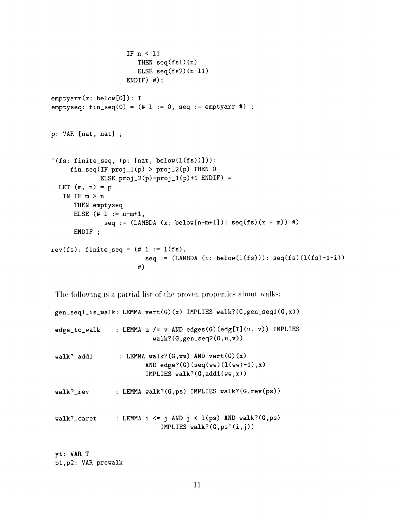```
IF n < ii
                       THEN seq(fs1)(n)ELSE seq(fs2)(n-11)ENDIF) #);
emptyarr(x: below[O]): T
emptyseq: fin\_seq(0) = (# 1 := 0, seq := emptyarr #);
p: VAR [nat, nat] ;
^{\circ}(fs: finite_seq, (p: [nat, below(l(fs))])):
     fin\_seq(IF proj_1(p) > proj_2(p) THEN 0ELSE proj_2(p)-proj_1(p)+1 ENDIF) =
  LET (m, n) = pIN IF m > n
      THEN emptyseq
      ELSE (* 1 := n-m+1,seq := (LAMBDA (x: below[n-m+1]): seq(fs)(x + m))#)
      ENDIF ;
rev(fs): finite_seq = (\# 1 := 1(fs)),seq := (LAMBDA (i: below(1(fs))): seq(fs)(1(fs)-1-i))#)
```
The following is a partial list of the proven properties about walks:

gen\_seq1\_is\_walk: LEMMA vert(G)(x) IMPLIES walk?(G,gen\_seq1(G,x)) edge to\_walk : LEMMA u */=* v AND edges(G)(edg[T](u, v)) IMPLIES  $walk?$ (G,gen\_seq2(G,u,v))  $walk?$  add1 : LEMMA walk?( $G,ww$ ) AND vert( $G$ )(x) AND edge?(G)(seq(ww)( $l(ww)-1$ ),x) IMPLIES walk?(G,addl(ww,x)) walk?\_rev : LEMMA walk?(G,ps) IMPLIES walk?(G,rev(ps)) walk?\_caret : LEMMA i <= j AND j <  $1(ps)$  AND walk?(G,ps) IMPLIES walk? $(G, ps^(i,j))$ 

yt: VAR T pl,p2: VAR prewalk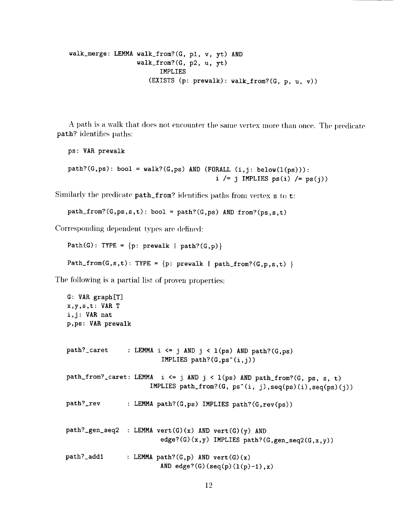```
walk_merge: LEMMA walk_from?(G, pl, v, yt) AND
                  walk_from?(G, p2, u, yt)
                        IMPLIES
                     (EXISTS (p: prewalk): walk_from?(G, p, u, v))
```
A path is a walk that does not encounter the same vertex more than once. The predicate path? identifies paths:

```
ps: VAR prewalk
path?(G,ps): bool = walk?(G,ps) AND (FORALL (i,j: below(1(ps))):i /= j IMPLIES ps(i) /= ps(j)
```
Similarly the predicate  $path\_from$ ? identifies paths from vertex  $s$  to t:

```
path\_from?(G,ps,s,t): bool = path?(G,ps) AND from?(ps,s,t)
```
Corresponding dependent types are defined:

```
Path(G): TYPE = \{p: \text{prevalk } | \text{path?}(G, p)\}Path_from(G,s,t): TYPE = {p: prewalk | path_from?(G,p,s,t) }
```
The following is a partial list of proven properties:

```
G: VAR graph[T]
x,y,s,t: VAR T
i,j: VAR nat
p,ps: VAR prewalk
path?_caret : LEMMA i <= j AND j < 1(ps) AND path?(G,ps)
                         IMPLIES path?(G, ps^-(i, j))path_from?_caret: LEMMA i \leq j AND j \leq l(ps) AND path_from?(G, ps, s, t)
                      IMPLIES path_from?(G, ps^(i, j),seq(ps)(i),seq(ps)(j))
path?_rev : LEMMA path?(G,ps) IMPLIES path?(G,rev(ps))
path?_gen_seq2 :
LEMMA vert(G)(x) AND vert(G)(y) AND
path?_addl
                         edge?(G)(x,y) IMPLIES path?(G,gen_seq2(G,x,y))
                : LEMMA path?(G, p) AND vert(G)(x)AND edge?(G)(seq(p)(1(p)-1),x)
```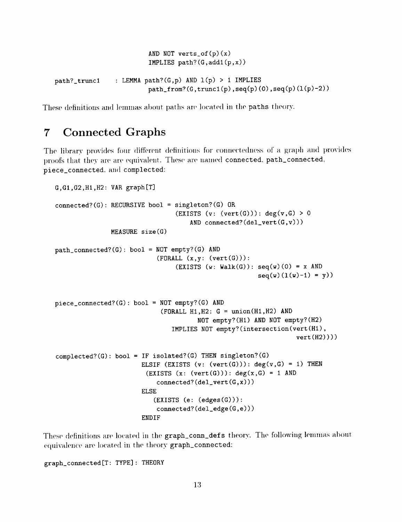AND NOT verts\_of $(p)(x)$ IMPLIES  $path?$ (G,add1(p,x)) path?\_trunc<sup>i</sup> : LEMMA path?(G,p) AND l(p) <sup>&</sup>gt; <sup>i</sup> IMPLIES path\_from?( $G,$ trunc $1(p)$ ,seq(p)(0),seq(p)( $1(p)-2$ ))

These definitions and lennnas about paths are **located in** the paths theory.

### 7 Connected Graphs

The library provides four different definitions for connectedness of a graph and provides proofs that they are are equivalent. These are named connected, path\_connected, piece\_connected, and complected:

```
G,GI,G2,HI,H2: VAR graph[T]
connected?(G): RECURSIVE bool = singleton?(G) OR
                                (EXISTS (v: (vert(G))): deg(v,G) > 0AND connected?(del\_vert(G,v)))MEASURE size(G)
path_connected?(G): bool = NOT empty?(G) AND
                           (FORMALL (x,y: (vert(G))):(EXISTS (w: Walk(G)): seq(w)(0) = x ANDseq(w)(1(w)-1) = y)piece_connected?(G): bool = NOT empty?(G) AND
                            (FORMALL H1, H2: G = union(H1, H2) ANDNOT empty?(Hl) AND N0T empty?(H2)
                               IMPLIES N0T empty?(intersection(vert(Hl),
                                                                 vert(H2))))
complected?(G): bool = IF isolated?(G) THEN singleton?(G)
                       ELSIF (EXISTS (v: (vert(G))): deg(v,G) = 1) THEN
                        (EXISTS (x: (vert(G))): deg(x,G) = 1 ANDconnected?(del\_vert(G,x)))ELSE
                          (EXISTS (e: (edges(G))):connected?(del_edge(G,e)))
                       ENDIF
```
These definitions are located in the graph\_conn\_defs theory. The following lemmas about equivalence are located in the theory graph\_connected:

graph\_connected[T: TYPE] : THEORY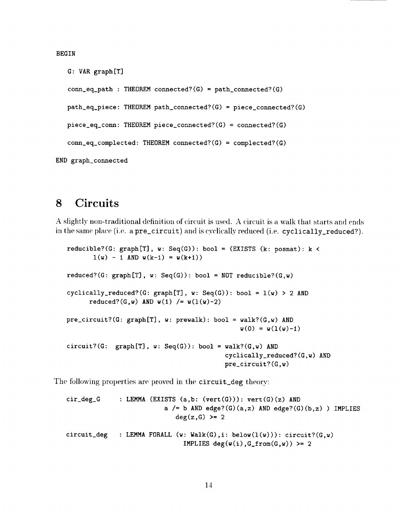BEGIN

```
G: VAR graph[T]
   conn_eq<sub>-</sub>path : THEOREM connected?(G) = path_connected?(G)
   path_eq_piece: THEOREM path_connected?(G) = piece_connected?(G)
   piece_eq_conn: THEOREM piece_connected?(G) = connected?(G)
   conn\_eq\_completed: THEOREM connected? (G) = completed? (G)END graph_connected
```
### **8** Circuits

A slightly non-traditional definition of circuit is used. A circuit is a walk that starts and ends in the same place (i.e. a pre\_circuit) and is cyclically reduced (i.e. cyclically\_reduced?).

```
reducible?(G: graph[T], w: Seq(G)): bool = (EXISTS (k: posnat): k <
       l(w) - 1 AND w(k-1) = w(k+1)reduced?(G: graph[T], w: Seq(G)): bool = NOT reducible?(G,w)
cyclically_reduced?(G: graph[T], w: Seq(G)): bool = l(w) > 2 AND
      reduced?(G,w) AND w(1) /= w(1(w)-2)pre\_circuit?(G: graph[T], w: prewalk): bool = walk?(G,w) AND
                                              w(0) = w(1(w)-1)circuit?(G: graph[T], w: Seq(G)): bool = walk?(G,w) AND
                                          cyclically_reduced?(G,w) AND
                                          pre_circuit?(G,w)
```
The following properties are proved in the circuit\_deg theory:

```
cir\_deg_G : LEMMA (EXISTS (a,b: (vert(G))): vert(G)(z) AND
                         a /= b AND edge?(G)(a,z) AND edge?(G)(b,z)) IMPLIES
                            deg(z,G) >= 2
circuit_deg : LEMMA FORALL (w: Walk(G),i: below(1(w))): circuit?(G,w)
                              IMPLIES deg(w(i), G\_from(G, w)) >= 2
```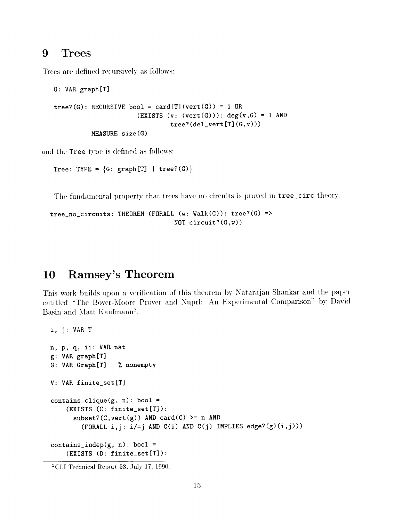### 9 Trees

Trees are defined recursively as follows:

```
G: VAR graph[T]
tree?(G): RECURSIVE bool = card[T](vert(G)) = 1 OR(EXISTS (v: (vert(G))): deg(v,G) = 1 AND
                               tree? (del\_vert[T](G, v)))MEASURE size(G)
```
and **the** Tree type is defined as follows:

Tree: TYPE =  $\{G: \text{graph}[T] \mid \text{tree?}(G)\}\$ 

The fundamental property that trees have no circuits is proved in tree\_circ theory.

tree\_no\_circuits: THEOREM (FDRALL (w: Walk(G)): tree?(G) => **N0T** circuit?(G,w))

# 10 Ramsey's Theorem

This work builds upon a verification of this theorem by Natarajan Shankar and the paper entitled "The Boyer-Moore Prover and Nuprl: An Experimental Comparison" by David Basin and Matt Kaufmann<sup>2</sup>.

```
i, j: VAR T
n, p, q, ii: VAR nat
g: VAR graph[T]
G: VAR Graph[T] % nonempty
V: VAR finite_set[T]
contains_clique(g, n): bool =
    (EXISTS (C: finite_set[T]):
      subset?((C,vert(g)) AND card(C) >= n AND
        (FORALL i,j: i/=j AND C(i) AND C(j) IMPLIES edge?(g)(i,j)))
contains_indep(g, n): bool =
    (EXISTS (D: finite_set[T]):
```
 $^{2}$ CLI Technical Report 58, July 17, 1990.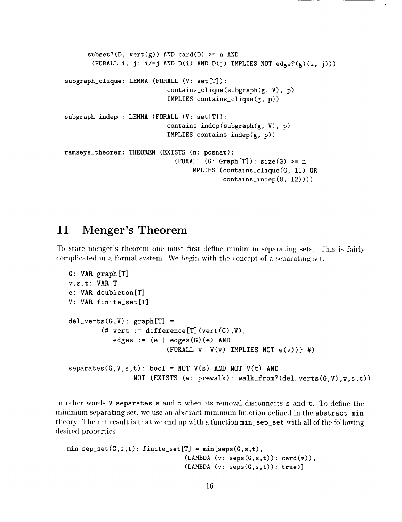```
subset?(D, vert(g)) AND card(D) >= n AND
       (FORALL i, j: i/=j AND D(i) AND D(j) IMPLIES NOT edge?(g)(i, j)))
subgraph_clique: LEMMA (FORALL (V: set[T]):
                            contains_clique(subgraph(g, V),
p)
                           IMPLIES contains_clique(g, p))
subgraph_indep : LEMMA (FORALL (V: set[T]):
                           contains_indep(subgraph(g, V),
p)
                           IMPLIES contains_indep(g, p))
ramseys_theorem: THEOREM (EXISTS (n: posnat):
                             (FORMLL (G: Graph[T]): size(G) >= nIMPLIES (contains_clique(G, Ii) OR
                                          contains_indep(G, 12))))
```
# 11 Menger's Theorem

To state menger's theorem one must first define minimum separating sets. This is fairly complicated in a formal system. We begin with the concept of a separating set:

```
G: VAR graph[T]
v,s,t: VAR T
e: VAR doubleton[T]
V: VAR finite_set[T]
del_verts(G,V): graph[T] =(# vert := difference[T](vert(G), V),
           edges := \{e \mid edges(G)(e) \text{ AND }(FORALL v: V(v) IMPLIES NOT e(v)) #)
separates(G,V,s,t): bool = NOT V(s) AND NOT V(t) ANDNOT (EXISTS (w: \text{prewalk}): walk_from?(del_verts(G,V),w, s, t))
```
In other words V separates s and t when its removal disconnects s and t. To define the minimum separating set, we use an abstract minimum function defined in the abstract\_min theory. The net result is that we end up with a function min\_sep\_set with all of the following desired properties

```
min\_sep\_set(G, s, t): finite_set[T] = min[seps(G, s, t),(LAMBDA (v: seps(G,s,t)): card(v)),(LAMBDA (v: seps(G,s,t)): true)]
```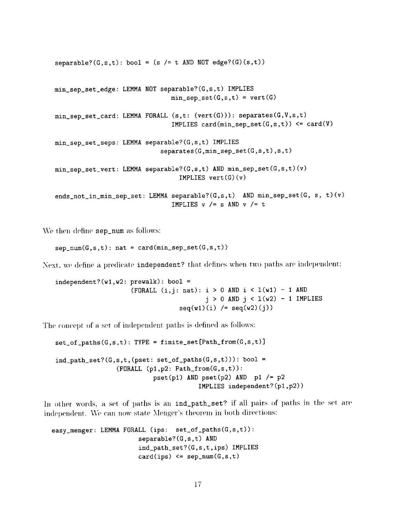$separable?(G,s,t): bool = (s /= t AND NOT edge?(G)(s,t))$ min\_sep\_set\_edge: LEMMA NOT separable?(G,s,t) IMPLIES  $min\_sep\_set(G, s, t) = vert(G)$  $min\_sep\_set\_card$ : LEMMA FORALL  $(s,t: (vert(G))$ : separates $(G,V,s,t)$ IMPLIES card(min\_sep\_set(G,s,t)) <= card(V) min sep\_set\_seps: LEMMA separable?(G,s,t) IMPLIES  $separates(G,min_sep_set(G,s,t),s,t)$ min\_sep\_set\_vert: LEMMA separable?(G,s,t) AND min\_sep\_set(G,s,t)(v) IMPLIES  $vert(G)(v)$ ends\_not\_in\_min\_sep\_set: LEMMA separable?(G,s,t) AND min\_sep\_set(G, s, t)(v) IMPLIES  $v$  /= s AND  $v$  /= t

We then define sep\_num as follows:

 $sep\_num(G, s, t)$ : nat = card(min\_sep\_set(G,s,t))

Next, we define a predicate independent? that defines when two paths are independent:

```
independent?(w1,w2: prevalk): bool =(FORALL (i, j: nat): i > 0 AND i < 1(w1) - 1 AND
                                       j > 0 AND j < 1(w2) - 1 IMPLIES
                                 seq(w1)(i) /= seq(w2)(j)
```
The concept of a set of independent paths is defined as follows:

 $set_of_paths(G, s, t)$ : TYPE = finite\_set[Path\_from(G,s,t)]  $ind$ <sub>-</sub>path\_set? $(G, s, t, (pset: set_of$ <sub>-paths</sub> $(G, s, t)))$ : bool =  $(FORMLL (p1, p2: Path\_from(G, s, t))):$  $pset(p1)$  AND  $pset(p2)$  AND  $p1$  /=  $p2$ IMPLIES independent?(p1,p2))

In other words, a set of paths is an ind\_path\_set? if all pairs of paths in the set are independent. We can now state Menger's theorem in both directions:

```
easy_menger: LEMMA FORALL (ips: set_of_paths(G,s,t)):
                       separable?(G,s,t) AND
                       ind_path_set?(G,s,t,ips) IMPLIES
                       card(ips) \leq sep_num(G, s, t)
```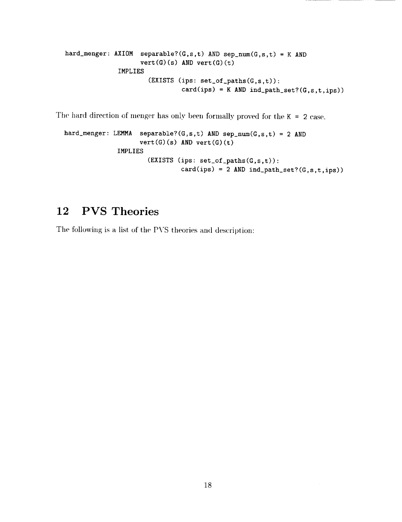```
hard_menger: AXIOM separable?(G,s,t) AND sep_num(G,s,t) = K ANDvert(G)(s) AND vert(G)(t)IMPLIES
                      (EXISTS (ips: set_of_paths(G,s,t)):
                               card(ips) = K AND ind-path_set?(G, s, t, ips)
```
The hard direction of menger has only been formally proved for the  $K = 2$  case.

```
hard_menger: LEMMA separable?(G,s,t) AND sep_num(G,s,t) = 2 AND
                    vert(G)(s) AND vert(G)(t)IMPLIES
                      (EXISTS (ips: set_of_paths(G,s,t)):
                               card(ips) = 2 AND ind\_path\_set? (G,s,t,ips))
```
# 12 PVS Theories

The following is a list of the PVS theories and description: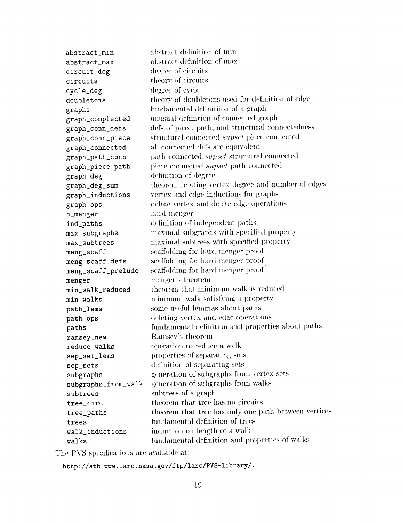abstract\_min abstract\_max circuit\_deg circuits cycle\_deg doubletons graphs graph\_complected graph\_conn\_defs graph\_conn\_piece graph\_connected graph\_path\_conn graph\_piece\_path graph\_deg graph\_deg\_sum graph\_inductions graph\_ops h\_menger ind\_paths max\_subgraphs max\_subtrees meng\_scaff meng\_scaff\_defs meng\_scaff\_prelude menger min\_walk\_reduced min\_walks path\_lems path\_ops paths ramsey\_new reduce\_walks sep\_set\_lems sep\_sets subgraphs subgraphs\_from\_walk subtrees tree\_circ tree\_paths trees walk\_inductions walks abstract definition of min **abstract** definition of max degree of circuits theory of circuits degree of cycle theory of doubletons used for definition of edge fundamental definitiion of a graph unusual definition of connected graph defs of piece, path, and structural connectedness structural connected *supset* piece connected all connected defs are equivalent path connected *supset* structural connected piece connected *supset* path connected definition of degree theorem relating vertex degree and number of edges vertex and edge inductions for graphs delete vertex and delete edge operations hard menger definition of independent paths maximal subgraphs with specified property maximal subtrees with specified property scaffolding for hard menger proof scaffolding for hard menger proof scaffolding for hard menger proof menger's theorem theorem that minimum walk is reduced minimum walk satisfying a property some useful lemmas about paths deleting vertex and edge operations fundamental definition and properties about paths Ramsey's theorem operation to reduce a walk properties of separating sets definition of separating sets generation of subgraphs from vertex sets generation of sul)graphs from walks subtrees of a graph theorem that tree has no circuits theorem that tree has only one path between vertices fundamental definition of trees induction on length of a walk fundamental definition and properties of walks

The PVS specifications are available at:

http://atb-www.larc.nasa.gov/ftp/larc/PVS-library/.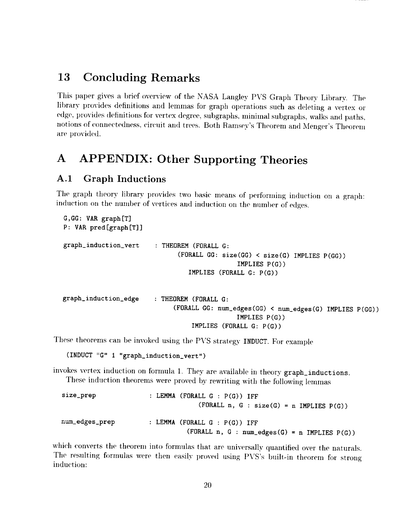# 13 Concluding Remarks

This paper gives a brief overview of the NASA Langley PVS Graph Theory Library. The library provides definitions and lemmas for graph operations such as deleting a vertex or edge, provides definitions for vertex degree, subgraphs, minimal subgraphs, walks and paths, notions of connectedness, *circuit* and trees. Both Ramsey's Theorem and Menger's Theorem are provided.

# A APPENDIX: Other Supporting Theories

### A.1 Graph Inductions

The graph theory library provides two basic means of performing induction on a graph: induction on the number of vertices and induction on the number of edges.

```
G,GG: VAR graph[T]
P: VAR pred [graph [T]]
graph_induction_vert : THEOREM (FORALL G:
                               (FORALL GG: size(GG) < size(G) IMPLIES P(GG))
                                              IMPLIES P(G))
                                 IMPLIES (FORALL G: P(G))
graph_induction_edge : THEOREM (FORALL G:
                             (FORALL GG: num_edges(GG) < hum_edges(G) IMPLIES P(GG))
                                              IMPLIES P(G))
                                  IMPLIES (FORALL G: P(G))
```
These theorems can be invoked using the PVS strategy INDUCT. For example

```
(INDUCT "G" I "graph_induction_vert")
```
invokes vertex induction on formula 1. They are available in theory graph\_inductions. These induction theorems were proved by rewriting with the following lemmas

```
size_prep : LEMMA (FORALL G : P(G)) IFF
                                (FORALL n, G : size(G) = n IMPLIES P(G))
num_edges_prep : LEMMA (FOKALL G : P(G)) IFF
                              (FORMLL n, G : num_eedges(G) = n IMPLIES P(G))
```
which converts the theorem into formulas that are universally quantified over the naturals. The resulting formulas were then easily proved using PVS's built-in theorem for strong induction: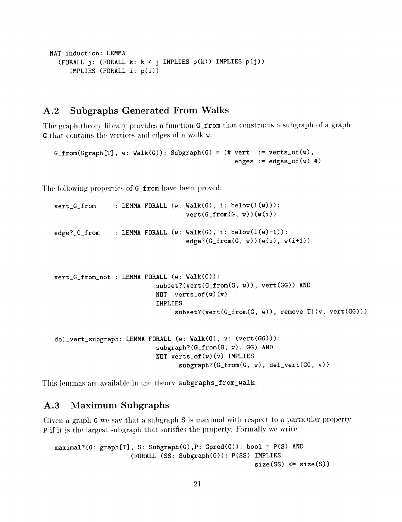```
NAT_induction: LEMMA
  (FORALL j: (FORALL k: k < j IMPLIES p(k)) IMPLIES p(j))
     IMPLIES (FORALL i: p(i))
```
#### **Subgraphs Generated From Walks**  $A.2$

The graph theory library provides a function G\_from that constructs a subgraph of a graph G that contains the vertices and edges of a walk w:

```
G_from(Ggraph[T], w: Walk(G)): Subgraph(G) = (# vert := verts_of(w),
                                                edges := edges_of(w) #)
```
The following properties of G\_from have been proved:

```
: LEMMA FORALL (w: \text{Walk}(G), i: \text{below}(1(w))):
vert_G_from
                                    vert(G\_from(G, w))(w(i))edge?_G_from : LEMMA FORALL (w: Walk(G), i: below(1(w)-1)):
                                    edge?(G_from(G, w))(w(i), w(i+1))vert_G_from_not : LEMMA FORALL (w: Walk(G)):
```

```
subset?(vert(G_from(G, w)), vert(GG)) AND
NOT verts_of(v)(v)
IMPLIES
     subset?(vert(G\_from(G, w)), remove[T](v, vert(G))),
```

```
del_vert_subgraph: LEMMA FORALL (w: Walk(G), v: (vert(GG))):
                           subgraph?(G_from(G, w), GG) AND
                           NOT verts_of(w)(v) IMPLIES
                                  subgraph? (G_from(G, w), del_vert (GG, v))
```
This lemmas are available in the theory subgraphs\_from\_walk.

#### **Maximum Subgraphs**  $A.3$

Given a graph G we say that a subgraph S is maximal with respect to a particular property P if it is the largest subgraph that satisfies the property. Formally we write:

```
maximal?(G: graph[T], S: Subgraph(G), P: Gpred(G)): bool = P(S) AND
                    (FORALL (SS: Subgraph(G)): P(SS) IMPLIES
                                                      size(SS) \leq size(S))
```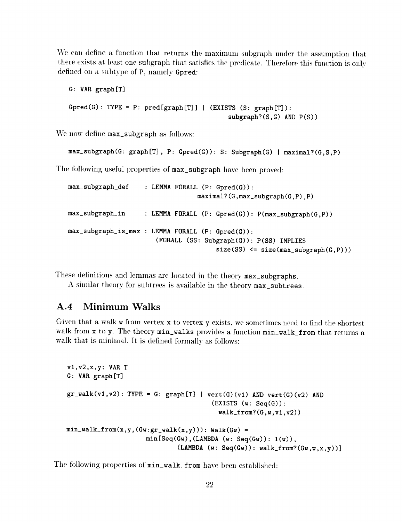We can define a function that returns the maximum subgraph under the assumption that there exists at least one subgraph that satisfies the predicate. Therefore this function is only defined on a subtype of P, nanmly **Gpred:**

```
G: VAR graph[T]
Gpred(G): TYPE = P: pred[graph[T]] | (EXISTS (S: graph[T]):
                                           subgraph?(S,G) AND P(S))
```
We now define max\_subgraph as follows:

```
max_subgraph(G: graph[T], P: Gpred(G)): S: Subgraph(G) I maximal?(G,S,P)
```
The following useful properties of max\_subgraph have been proved:

```
max_subgraph_def : LEMMA FORALL (P: Gpred(G)):
                                  maximal?(G,max_subgraph(G,P),P)
max_subgraph_in : LEMMA FORALL (P: Gpred(G)): P(max_subgraph(G,P))
max_subgraph is_max : LEMMA FORALL (P: Gpred(G)):
                       (FORALL (SS: Subgraph(G)): P(SS) IMPLIES
                                       size(SS) \leq size(max\_subgraph(G, P)))
```
These definitions and lemmas are located in the theory **max\_subgraphs.**

A similar theory for subtrees is available in the theory max\_subtrees.

#### A.4 Minimum Walks

Given that a walk w from vertex x to vertex y exists, we sometimes need to find the shortest walk from x to y. The theory min\_walks provides a function min\_walk\_from that returns a walk that is minimal. It is defined formally as follows:

```
v1, v2, x, y: VAR T
G: VAR graph[T]
gr\_walk(v1, v2): TYPE = G: graph[T] | vert(G)(v1) AND vert(G)(v2) AND
                                        (EXISTS (w: Seq(G)):
                                          walk_from?(G, w, v1, v2)min\_walk\_from(x,y,(Gw:gr\_walk(x,y))): Walk(Gw) =
                      min[Seq(Gw), (LAMBDA (w: Seq(Gw)): 1(w)),(LAMBDA (w: Seq(Gw)): walk\_from?((Gw,w,x,v))]
```
The following properties of  $min\_walk\_from$  have been established: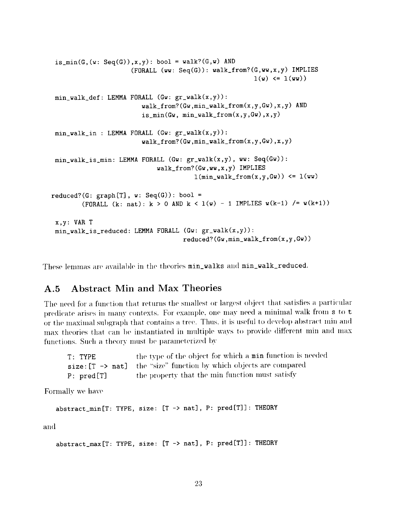```
is_min(G,(w: Seq(G)),x, y): bool = walk?(G,w) AND
                     (FORMLL (ww: Seq(G)): walk\_from?(G, ww,x,y) IMPLIES
                                                       l(w) \le l(ww)min_walk_def: LEMMA FORALL (Gw: gr_walk(x,y)):
                        walk_from?(Gw,min_walk_from(x,y,Gw),x,y) AND
                        is\_min(Gw, min\_walk\_from(x,y,Gw),x,y)min_wals_in : LEMMA FORALL (Gw: gr_walk(x,y)):
                        walk_from?(Gw,min_walk_from(x,y,Gw),x,y)
min_walk_is_min: LEMMA FORALL (Gw: gr_walk(x,y), ww: Seq(Gw)):
                            walk_from?(Gw,ww,x,y) IMPLIES
                                       l(min\_walk\_from(x,y,Gw)) \leq l(ww)reduced?(G: graph[T], w: Seq(G)): bool =
        (FORALL (k: nat): k > 0 AND k < 1(w) - 1 IMPLIES w(k-1) /= w(k+1))
 x,y: VAR T
min\_walk\_is\_reduced: LEMMA FORALL (Gw: gr\_walk(x,y)):
                                    reduced?(Gw,min_walk_from(x,y,Gw))
```
These lemmas are available in the theories min\_walks and min\_walk\_reduced.

#### A.5 Abstract Min and Max Theories

The need for a function that returns the smallest or largest object that satisfies a particular predicate arises in many contexts. For example, one may need a minimal walk from  $s$  to  $t$ or the maximal subgraph that contains a tree. Thus, it is useful to develop abstract min and max theories that can be instantiated in multiple ways to provide different min and max functions. Such a theory must be parameterized by

| $T:$ TYPE  | the type of the object for which a min function is needed                     |
|------------|-------------------------------------------------------------------------------|
|            | size: $[T \rightarrow nat]$ the "size" function by which objects are compared |
| P: pred[T] | the property that the min function must satisfy                               |

Formally we have

```
abstract_min[T: TYPE, size: [T -> nat], P: pred[T]]: THEORY
```
and

```
abstract_max[T: TYPE, size: [T -> nat] , P: pred[T]] : THEORY
```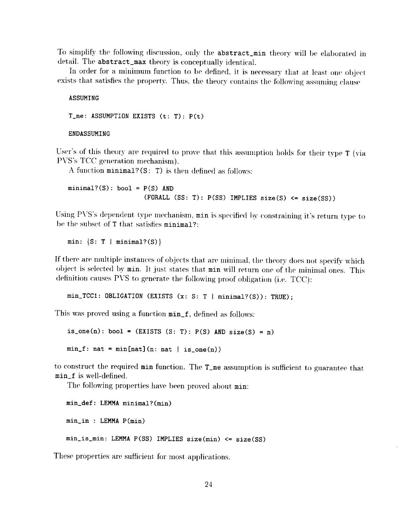To simplify the following discussion, only the abstract\_min theory will be elaborated in detail. The abstract\_max theory is conceptually identical.

In order for a minimum function to be defined, it is necessary that at least one object exists that satisfies the property. Thus, the theory contains the following assuming clause

**ASSUMING** 

 $T_{n}$ : ASSUMPTION EXISTS (t: T):  $P(t)$ 

ENDASSUMING

User's of this theory are required to prove that this assumption holds for their type T (via PVS's TCC generation mechanism).

A function  $minimal?(S: T)$  is then defined as follows:

 $minimal?(S): bool = P(S) AND$  $(FORALL (SS: T): P(SS) IMPLIES size(S) \leq size(SS))$ 

Using PVS's dependent type mechanism, min is specified by constraining it's return type to be the subset of T that satisfies minimal?:

min:  $\{S: T \mid \text{minimal?}(S)\}\$ 

If there are multiple instances of objects that are minimal, the theory does not specify which object is selected by min. It just states that min will return one of the minimal ones. This definition causes PVS to generate the following proof obligation (i.e. TCC):

 $min_TCC1$ : OBLIGATION (EXISTS (x: S: T |  $minimal?(S)$ ): TRUE);

This was proved using a function  $min_f$ , defined as follows:

is\_one(n): bool = (EXISTS (S: T):  $P(S)$  AND size(S) = n)  $min_f$ :  $nat = min[nat](n: nat | is-one(n))$ 

to construct the required min function. The T<sub>re</sub> assumption is sufficient to guarantee that min\_f is well-defined.

The following properties have been proved about min:

```
min_def: LEMMA minimal?(min)
min_in: LEMMA P(min)min_is\_min: LEMMA P(SS) IMPLIES size(min) <= size(SS)
```
These properties are sufficient for most applications.